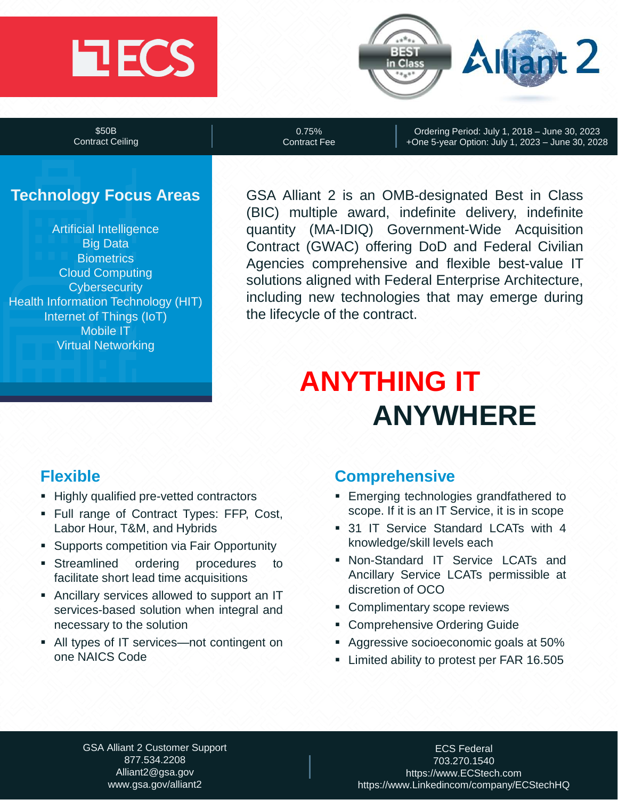# **ECS**



\$50B Contract Ceiling

0.75% Contract Fee

Ordering Period: July 1, 2018 – June 30, 2023 +One 5-year Option: July 1, 2023 – June 30, 2028

# **Technology Focus Areas**

Artificial Intelligence Big Data **Biometrics** Cloud Computing **Cybersecurity** Health Information Technology (HIT) Internet of Things (IoT) Mobile IT Virtual Networking

GSA Alliant 2 is an OMB-designated Best in Class (BIC) multiple award, indefinite delivery, indefinite quantity (MA-IDIQ) Government-Wide Acquisition Contract (GWAC) offering DoD and Federal Civilian Agencies comprehensive and flexible best-value IT solutions aligned with Federal Enterprise Architecture, including new technologies that may emerge during the lifecycle of the contract.

# **ANYTHING IT ANYWHERE**

# **Flexible**

- **EXECUTE:** Highly qualified pre-vetted contractors
- **EXECUTE:** Full range of Contract Types: FFP, Cost, Labor Hour, T&M, and Hybrids
- **EXECT:** Supports competition via Fair Opportunity
- **Example 5 Inc.** Streamlined ordering procedures to facilitate short lead time acquisitions
- **EXECUTE:** Ancillary services allowed to support an IT services-based solution when integral and necessary to the solution
- All types of IT services—not contingent on one NAICS Code

# **Comprehensive**

- **Emerging technologies grandfathered to** scope. If it is an IT Service, it is in scope
- **31 IT Service Standard LCATs with 4** knowledge/skill levels each
- Non-Standard IT Service LCATs and Ancillary Service LCATs permissible at discretion of OCO
- Complimentary scope reviews
- **Comprehensive Ordering Guide**
- Aggressive socioeconomic goals at 50%
- **EXECUTE:** Limited ability to protest per FAR 16.505

GSA Alliant 2 Customer Support 877.534.2208 Alliant2@gsa.gov www.gsa.gov/alliant2

ECS Federal 703.270.1540 https://www.ECStech.com https://www.Linkedincom/company/ECStechHQ